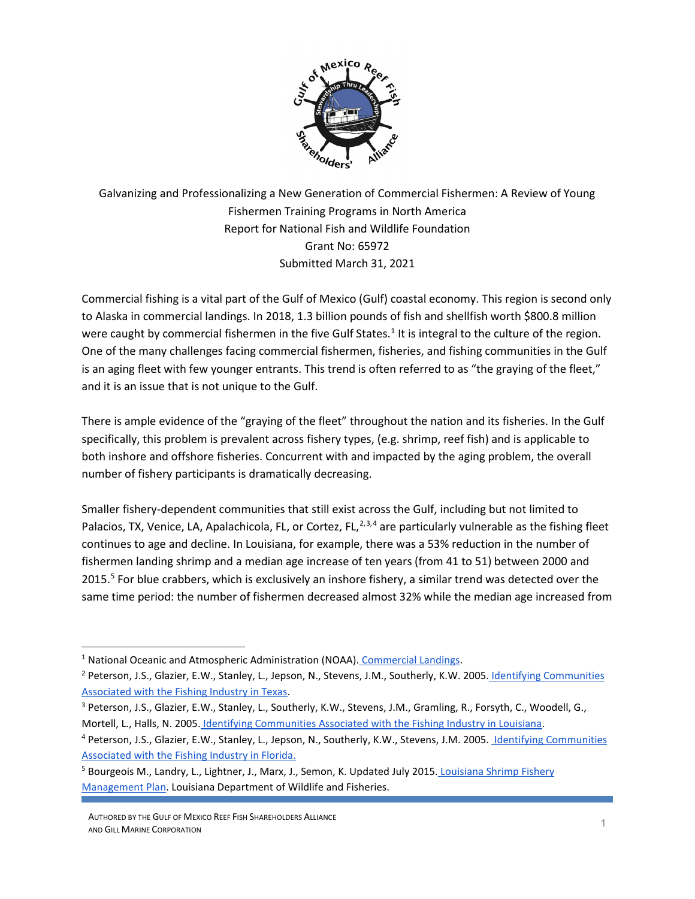

Galvanizing and Professionalizing a New Generation of Commercial Fishermen: A Review of Young Fishermen Training Programs in North America Report for National Fish and Wildlife Foundation Grant No: 65972 Submitted March 31, 2021

Commercial fishing is a vital part of the Gulf of Mexico (Gulf) coastal economy. This region is second only to Alaska in commercial landings. In 2018, 1.3 billion pounds of fish and shellfish worth \$800.8 million were caught by commercial fishermen in the five Gulf States.<sup>[1](#page-0-0)</sup> It is integral to the culture of the region. One of the many challenges facing commercial fishermen, fisheries, and fishing communities in the Gulf is an aging fleet with few younger entrants. This trend is often referred to as "the graying of the fleet," and it is an issue that is not unique to the Gulf.

There is ample evidence of the "graying of the fleet" throughout the nation and its fisheries. In the Gulf specifically, this problem is prevalent across fishery types, (e.g. shrimp, reef fish) and is applicable to both inshore and offshore fisheries. Concurrent with and impacted by the aging problem, the overall number of fishery participants is dramatically decreasing.

Smaller fishery-dependent communities that still exist across the Gulf, including but not limited to Palacios, TX, Venice, LA, Apalachicola, FL, or Cortez, FL, $^{2,3,4}$  $^{2,3,4}$  $^{2,3,4}$  $^{2,3,4}$  $^{2,3,4}$  $^{2,3,4}$  are particularly vulnerable as the fishing fleet continues to age and decline. In Louisiana, for example, there was a 53% reduction in the number of fishermen landing shrimp and a median age increase of ten years (from 41 to 51) between 2000 and 201[5](#page-0-4).<sup>5</sup> For blue crabbers, which is exclusively an inshore fishery, a similar trend was detected over the same time period: the number of fishermen decreased almost 32% while the median age increased from

<span id="page-0-0"></span><sup>&</sup>lt;sup>1</sup> National Oceanic and Atmospheric Administration (NOAA). [Commercial Landings.](https://foss.nmfs.noaa.gov/apexfoss/f?p=215:200:5681210958638::NO:::)

<span id="page-0-1"></span><sup>&</sup>lt;sup>2</sup> Peterson, J.S., Glazier, E.W., Stanley, L., Jepson, N., Stevens, J.M., Southerly, K.W. 2005. Identifying Communities [Associated with the Fishing Industry in Texas.](https://sero.nmfs.noaa.gov/sustainable_fisheries/social/documents/pdfs/communities/2013/texas.pdf)

<span id="page-0-2"></span><sup>&</sup>lt;sup>3</sup> Peterson, J.S., Glazier, E.W., Stanley, L., Southerly, K.W., Stevens, J.M., Gramling, R., Forsyth, C., Woodell, G., Mortell, L., Halls, N. 2005. [Identifying Communities Associated with the Fishing Industry in Louisiana.](https://sero.nmfs.noaa.gov/sustainable_fisheries/social/documents/pdfs/communities/2013/ascension_lafayette.pdf)

<span id="page-0-3"></span><sup>4</sup> Peterson, J.S., Glazier, E.W., Stanley, L., Jepson, N., Southerly, K.W., Stevens, J.M. 2005. Identifying Communities [Associated with the Fishing Industry in Florida.](https://sero.nmfs.noaa.gov/sustainable_fisheries/social/documents/pdfs/communities/2013/escambia_levy.pdf)

<span id="page-0-4"></span><sup>&</sup>lt;sup>5</sup> Bourgeois M., Landry, L., Lightner, J., Marx, J., Semon, K. Updated July 2015. Louisiana Shrimp Fishery [Management Plan.](http://www.wlf.louisiana.gov/sites/default/files/pdf/page/37762-fishery-management-plans-marine/shrimpfmp7-27-15.pdf) Louisiana Department of Wildlife and Fisheries.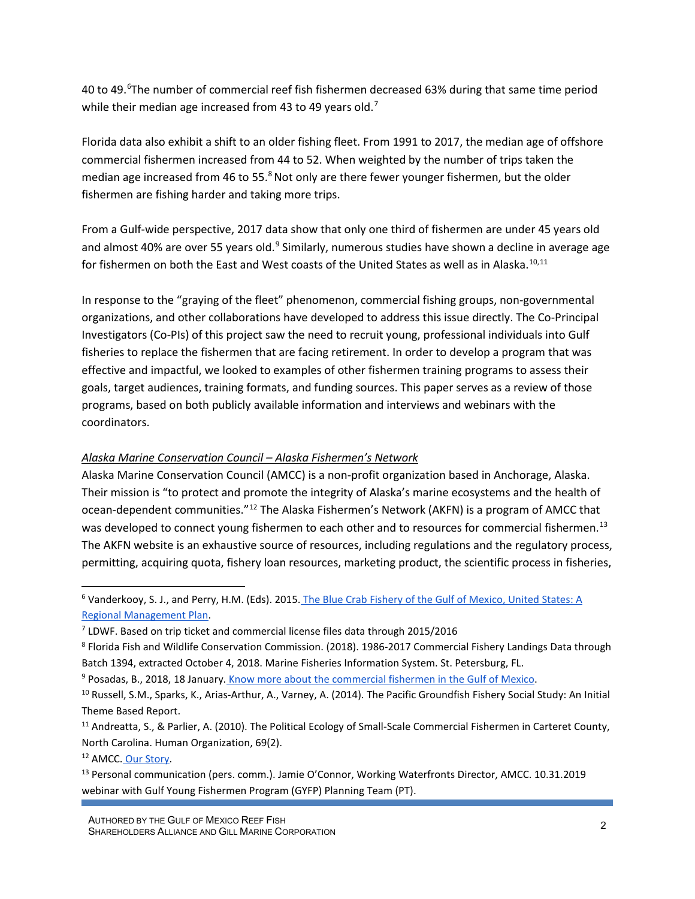40 to 49.<sup>[6](#page-1-0)</sup>The number of commercial reef fish fishermen decreased 63% during that same time period while their median age increased from 43 to 49 years old.<sup>[7](#page-1-1)</sup>

Florida data also exhibit a shift to an older fishing fleet. From 1991 to 2017, the median age of offshore commercial fishermen increased from 44 to 52. When weighted by the number of trips taken the median age increased from 46 to 55. $8$ Not only are there fewer younger fishermen, but the older fishermen are fishing harder and taking more trips.

From a Gulf-wide perspective, 2017 data show that only one third of fishermen are under 45 years old and almost 40% are over 55 years old.<sup>[9](#page-1-3)</sup> Similarly, numerous studies have shown a decline in average age for fishermen on both the East and West coasts of the United States as well as in Alaska.<sup>[10,](#page-1-4)[11](#page-1-5)</sup>

In response to the "graying of the fleet" phenomenon, commercial fishing groups, non-governmental organizations, and other collaborations have developed to address this issue directly. The Co-Principal Investigators (Co-PIs) of this project saw the need to recruit young, professional individuals into Gulf fisheries to replace the fishermen that are facing retirement. In order to develop a program that was effective and impactful, we looked to examples of other fishermen training programs to assess their goals, target audiences, training formats, and funding sources. This paper serves as a review of those programs, based on both publicly available information and interviews and webinars with the coordinators.

## *Alaska Marine Conservation Council – Alaska Fishermen's Network*

Alaska Marine Conservation Council (AMCC) is a non-profit organization based in Anchorage, Alaska. Their mission is "to protect and promote the integrity of Alaska's marine ecosystems and the health of ocean-dependent communities."[12](#page-1-6) The Alaska Fishermen's Network (AKFN) is a program of AMCC that was developed to connect young fishermen to each other and to resources for commercial fishermen.<sup>[13](#page-1-7)</sup> The AKFN website is an exhaustive source of resources, including regulations and the regulatory process, permitting, acquiring quota, fishery loan resources, marketing product, the scientific process in fisheries,

<span id="page-1-6"></span><sup>12</sup> AMCC. [Our Story.](https://www.akmarine.org/our-story)

<span id="page-1-0"></span><sup>6</sup> Vanderkooy, S. J., and Perry, H.M. (Eds). 2015. [The Blue Crab Fishery of the Gulf of Mexico, United States: A](https://www.gsmfc.org/publications/GSMFC%20Number%20243_web.pdf)  [Regional Management Plan.](https://www.gsmfc.org/publications/GSMFC%20Number%20243_web.pdf)

<span id="page-1-1"></span><sup>7</sup> LDWF. Based on trip ticket and commercial license files data through 2015/2016

<span id="page-1-2"></span><sup>8</sup> Florida Fish and Wildlife Conservation Commission. (2018). 1986-2017 Commercial Fishery Landings Data through Batch 1394, extracted October 4, 2018. Marine Fisheries Information System. St. Petersburg, FL.

<span id="page-1-3"></span><sup>&</sup>lt;sup>9</sup> Posadas, B., 2018, 18 January. [Know more about the commercial fishermen in the Gulf of Mexico.](http://masgc.org/news/article/know-more-about-the-commercial-fishermen-in-the-gulf-of-mexico-states.)

<span id="page-1-4"></span><sup>&</sup>lt;sup>10</sup> Russell, S.M., Sparks, K., Arias-Arthur, A., Varney, A. (2014). The Pacific Groundfish Fishery Social Study: An Initial Theme Based Report.

<span id="page-1-5"></span><sup>&</sup>lt;sup>11</sup> Andreatta, S., & Parlier, A. (2010). The Political Ecology of Small-Scale Commercial Fishermen in Carteret County, North Carolina. Human Organization, 69(2).

<span id="page-1-7"></span><sup>&</sup>lt;sup>13</sup> Personal communication (pers. comm.). Jamie O'Connor, Working Waterfronts Director, AMCC. 10.31.2019 webinar with Gulf Young Fishermen Program (GYFP) Planning Team (PT).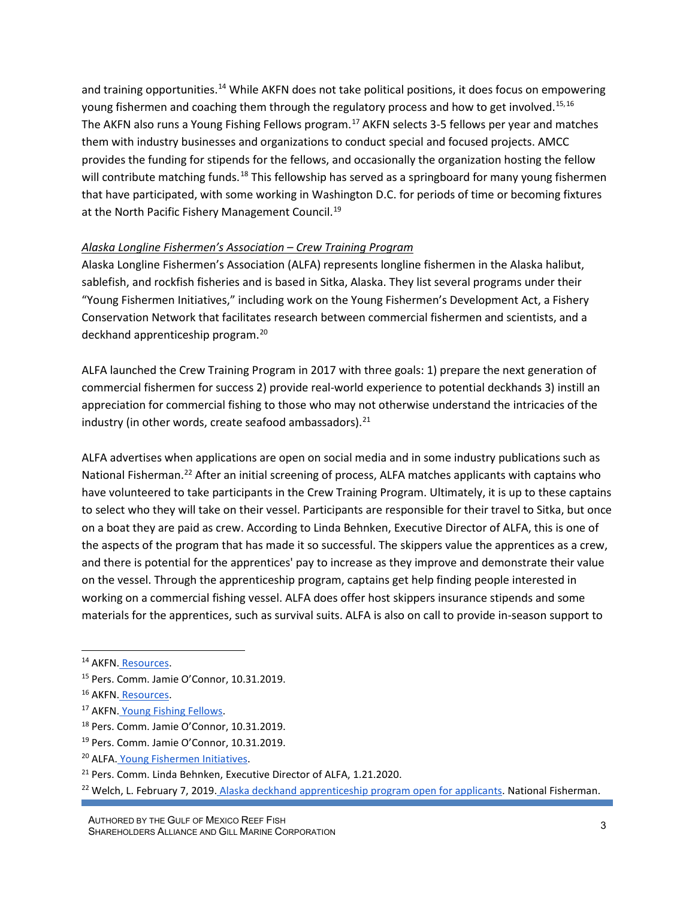and training opportunities.<sup>14</sup> While AKFN does not take political positions, it does focus on empowering young fishermen and coaching them through the regulatory process and how to get involved.<sup>[15,](#page-2-1)[16](#page-2-2)</sup> The AKFN also runs a Young Fishing Fellows program.<sup>[17](#page-2-3)</sup> AKFN selects 3-5 fellows per year and matches them with industry businesses and organizations to conduct special and focused projects. AMCC provides the funding for stipends for the fellows, and occasionally the organization hosting the fellow will contribute matching funds.<sup>[18](#page-2-4)</sup> This fellowship has served as a springboard for many young fishermen that have participated, with some working in Washington D.C. for periods of time or becoming fixtures at the North Pacific Fishery Management Council.<sup>[19](#page-2-5)</sup>

### *Alaska Longline Fishermen's Association – Crew Training Program*

Alaska Longline Fishermen's Association (ALFA) represents longline fishermen in the Alaska halibut, sablefish, and rockfish fisheries and is based in Sitka, Alaska. They list several programs under their "Young Fishermen Initiatives," including work on the Young Fishermen's Development Act, a Fishery Conservation Network that facilitates research between commercial fishermen and scientists, and a deckhand apprenticeship program.[20](#page-2-6)

ALFA launched the Crew Training Program in 2017 with three goals: 1) prepare the next generation of commercial fishermen for success 2) provide real-world experience to potential deckhands 3) instill an appreciation for commercial fishing to those who may not otherwise understand the intricacies of the industry (in other words, create seafood ambassadors). $^{21}$  $^{21}$  $^{21}$ 

ALFA advertises when applications are open on social media and in some industry publications such as National Fisherman.<sup>22</sup> After an initial screening of process, ALFA matches applicants with captains who have volunteered to take participants in the Crew Training Program. Ultimately, it is up to these captains to select who they will take on their vessel. Participants are responsible for their travel to Sitka, but once on a boat they are paid as crew. According to Linda Behnken, Executive Director of ALFA, this is one of the aspects of the program that has made it so successful. The skippers value the apprentices as a crew, and there is potential for the apprentices' pay to increase as they improve and demonstrate their value on the vessel. Through the apprenticeship program, captains get help finding people interested in working on a commercial fishing vessel. ALFA does offer host skippers insurance stipends and some materials for the apprentices, such as survival suits. ALFA is also on call to provide in-season support to

- <span id="page-2-3"></span><sup>17</sup> AKFN. [Young Fishing Fellows.](https://www.akyoungfishermen.org/young-fishing-fellows)
- <span id="page-2-4"></span><sup>18</sup> Pers. Comm. Jamie O'Connor, 10.31.2019.

<span id="page-2-0"></span><sup>&</sup>lt;sup>14</sup> AKFN. [Resources.](https://www.akyoungfishermen.org/ayfn-resources#block-yui_3_17_2_1_1531345468890_8886)

<span id="page-2-1"></span><sup>15</sup> Pers. Comm. Jamie O'Connor, 10.31.2019.

<span id="page-2-2"></span><sup>16</sup> AKFN. [Resources.](https://www.akyoungfishermen.org/ayfn-resources#block-yui_3_17_2_1_1531345468890_8886)

<span id="page-2-5"></span><sup>19</sup> Pers. Comm. Jamie O'Connor, 10.31.2019.

<span id="page-2-6"></span><sup>20</sup> ALFA. [Young Fishermen Initiatives.](http://www.alfafish.org/youngfishermen)

<span id="page-2-7"></span><sup>&</sup>lt;sup>21</sup> Pers. Comm. Linda Behnken, Executive Director of ALFA, 1.21.2020.

<span id="page-2-8"></span><sup>&</sup>lt;sup>22</sup> Welch, L. February 7, 2019. [Alaska deckhand apprenticeship program open for applicants.](https://www.nationalfisherman.com/alaska/alaska-deckhand-apprentice-program-open-for-applicants) National Fisherman.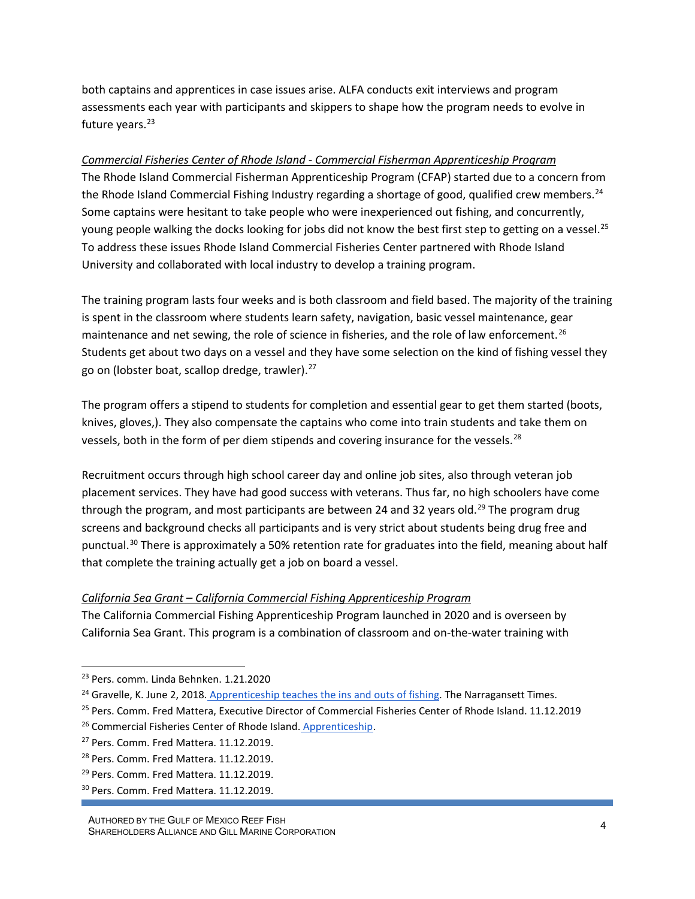both captains and apprentices in case issues arise. ALFA conducts exit interviews and program assessments each year with participants and skippers to shape how the program needs to evolve in future years.<sup>[23](#page-3-0)</sup>

# *Commercial Fisheries Center of Rhode Island - Commercial Fisherman Apprenticeship Program*

The Rhode Island Commercial Fisherman Apprenticeship Program (CFAP) started due to a concern from the Rhode Island Commercial Fishing Industry regarding a shortage of good, qualified crew members.<sup>[24](#page-3-1)</sup> Some captains were hesitant to take people who were inexperienced out fishing, and concurrently, young people walking the docks looking for jobs did not know the best first step to getting on a vessel.<sup>[25](#page-3-2)</sup> To address these issues Rhode Island Commercial Fisheries Center partnered with Rhode Island University and collaborated with local industry to develop a training program.

The training program lasts four weeks and is both classroom and field based. The majority of the training is spent in the classroom where students learn safety, navigation, basic vessel maintenance, gear maintenance and net sewing, the role of science in fisheries, and the role of law enforcement.<sup>[26](#page-3-3)</sup> Students get about two days on a vessel and they have some selection on the kind of fishing vessel they go on (lobster boat, scallop dredge, trawler). $27$ 

The program offers a stipend to students for completion and essential gear to get them started (boots, knives, gloves,). They also compensate the captains who come into train students and take them on vessels, both in the form of per diem stipends and covering insurance for the vessels.<sup>[28](#page-3-5)</sup>

Recruitment occurs through high school career day and online job sites, also through veteran job placement services. They have had good success with veterans. Thus far, no high schoolers have come through the program, and most participants are between 24 and 32 years old.<sup>[29](#page-3-6)</sup> The program drug screens and background checks all participants and is very strict about students being drug free and punctual.<sup>30</sup> There is approximately a 50% retention rate for graduates into the field, meaning about half that complete the training actually get a job on board a vessel.

## *California Sea Grant – California Commercial Fishing Apprenticeship Program*

The California Commercial Fishing Apprenticeship Program launched in 2020 and is overseen by California Sea Grant. This program is a combination of classroom and on-the-water training with

<span id="page-3-0"></span><sup>23</sup> Pers. comm. Linda Behnken. 1.21.2020

<span id="page-3-1"></span><sup>&</sup>lt;sup>24</sup> Gravelle, K. June 2, 2018. [Apprenticeship teaches the ins and outs of fishing.](https://www.ricentral.com/narragansett_times/apprenticeship-teaches-the-ins-and-outs-of-fishing/article_05823620-64dd-11e8-861a-e7652152490a.html) The Narragansett Times.

<span id="page-3-2"></span><sup>&</sup>lt;sup>25</sup> Pers. Comm. Fred Mattera, Executive Director of Commercial Fisheries Center of Rhode Island. 11.12.2019

<span id="page-3-3"></span><sup>&</sup>lt;sup>26</sup> Commercial Fisheries Center of Rhode Island. [Apprenticeship.](https://www.cfcri.org/apprenticeship.html)

<span id="page-3-4"></span><sup>&</sup>lt;sup>27</sup> Pers. Comm. Fred Mattera. 11.12.2019.

<span id="page-3-5"></span><sup>28</sup> Pers. Comm. Fred Mattera. 11.12.2019.

<span id="page-3-6"></span><sup>&</sup>lt;sup>29</sup> Pers. Comm. Fred Mattera. 11.12.2019.

<span id="page-3-7"></span><sup>30</sup> Pers. Comm. Fred Mattera. 11.12.2019.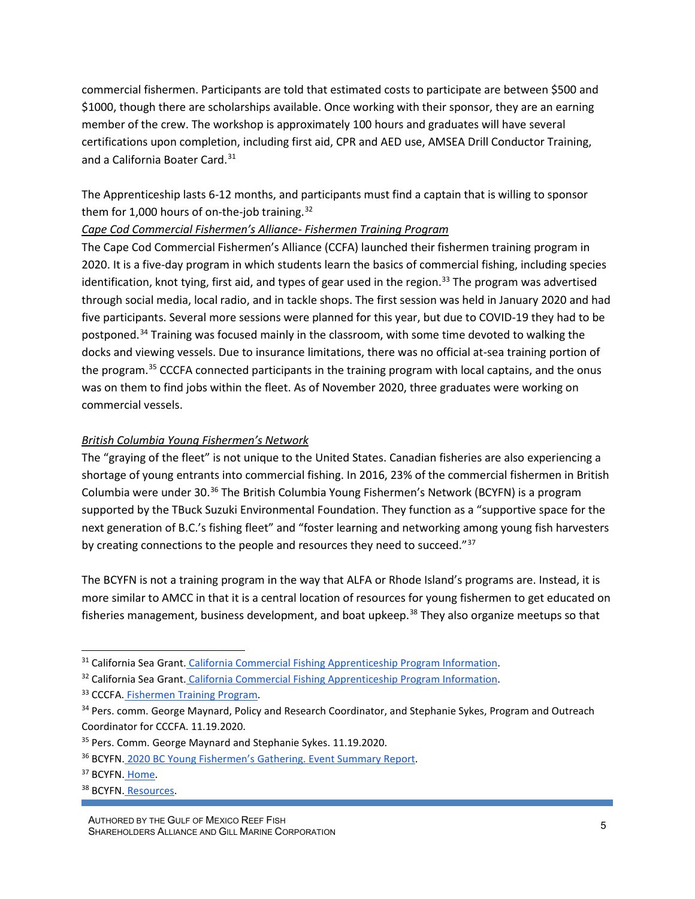commercial fishermen. Participants are told that estimated costs to participate are between \$500 and \$1000, though there are scholarships available. Once working with their sponsor, they are an earning member of the crew. The workshop is approximately 100 hours and graduates will have several certifications upon completion, including first aid, CPR and AED use, AMSEA Drill Conductor Training, and a California Boater Card.[31](#page-4-0)

The Apprenticeship lasts 6-12 months, and participants must find a captain that is willing to sponsor them for 1,000 hours of on-the-job training.<sup>[32](#page-4-1)</sup>

### *Cape Cod Commercial Fishermen's Alliance- Fishermen Training Program*

The Cape Cod Commercial Fishermen's Alliance (CCFA) launched their fishermen training program in 2020. It is a five-day program in which students learn the basics of commercial fishing, including species identification, knot tying, first aid, and types of gear used in the region.<sup>[33](#page-4-2)</sup> The program was advertised through social media, local radio, and in tackle shops. The first session was held in January 2020 and had five participants. Several more sessions were planned for this year, but due to COVID-19 they had to be postponed.<sup>34</sup> Training was focused mainly in the classroom, with some time devoted to walking the docks and viewing vessels. Due to insurance limitations, there was no official at-sea training portion of the program.<sup>[35](#page-4-4)</sup> CCCFA connected participants in the training program with local captains, and the onus was on them to find jobs within the fleet. As of November 2020, three graduates were working on commercial vessels.

### *British Columbia Young Fishermen's Network*

The "graying of the fleet" is not unique to the United States. Canadian fisheries are also experiencing a shortage of young entrants into commercial fishing. In 2016, 23% of the commercial fishermen in British Columbia were under 30.<sup>[36](#page-4-5)</sup> The British Columbia Young Fishermen's Network (BCYFN) is a program supported by the TBuck Suzuki Environmental Foundation. They function as a "supportive space for the next generation of B.C.'s fishing fleet" and "foster learning and networking among young fish harvesters by creating connections to the people and resources they need to succeed."<sup>[37](#page-4-6)</sup>

The BCYFN is not a training program in the way that ALFA or Rhode Island's programs are. Instead, it is more similar to AMCC in that it is a central location of resources for young fishermen to get educated on fisheries management, business development, and boat upkeep.<sup>[38](#page-4-7)</sup> They also organize meetups so that

<span id="page-4-0"></span><sup>&</sup>lt;sup>31</sup> California Sea Grant. [California Commercial Fishing Apprenticeship Program Information.](https://caseagrant.ucsd.edu/apprentice#:%7E:text=The%20training%20program%20will%20take,%24500%20to%20%241000%20before%20scholarships.)

<span id="page-4-1"></span><sup>32</sup> California Sea Grant. [California Commercial Fishing Apprenticeship Program Information.](https://caseagrant.ucsd.edu/apprentice#:%7E:text=The%20training%20program%20will%20take,%24500%20to%20%241000%20before%20scholarships.)

<span id="page-4-2"></span><sup>33</sup> CCCFA. [Fishermen Training Program.](https://capecodfishermen.org/item/fishermen-s-training-program)

<span id="page-4-3"></span><sup>&</sup>lt;sup>34</sup> Pers. comm. George Maynard, Policy and Research Coordinator, and Stephanie Sykes, Program and Outreach Coordinator for CCCFA. 11.19.2020.

<span id="page-4-4"></span><sup>&</sup>lt;sup>35</sup> Pers. Comm. George Maynard and Stephanie Sykes. 11.19.2020.

<span id="page-4-5"></span><sup>36</sup> BCYFN. [2020 BC Young Fishermen's Gathering. Event Summary Report.](https://d3n8a8pro7vhmx.cloudfront.net/tbucksuzuki/pages/21/attachments/original/1590163220/2020_BCYFG_Summary_Report_Logo.pdf?1590163220)

<span id="page-4-6"></span><sup>&</sup>lt;sup>37</sup> BCYFN. [Home.](https://www.bcyoungfishermen.ca/)

<span id="page-4-7"></span><sup>38</sup> BCYFN. [Resources.](https://www.bcyoungfishermen.ca/resources)

AUTHORED BY THE GULF OF MEXICO REEF FISH AUTHORED BY THE GULF OF MEXICO REEF FISH<br>SHAREHOLDERS ALLIANCE AND GILL MARINE CORPORATION 5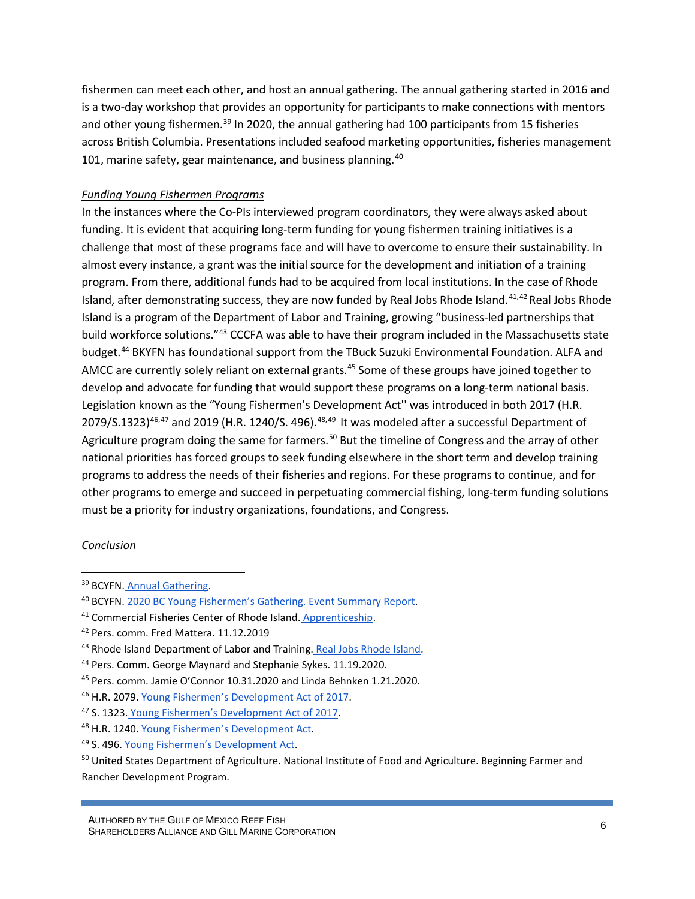fishermen can meet each other, and host an annual gathering. The annual gathering started in 2016 and is a two-day workshop that provides an opportunity for participants to make connections with mentors and other young fishermen.<sup>[39](#page-5-0)</sup> In 2020, the annual gathering had 100 participants from 15 fisheries across British Columbia. Presentations included seafood marketing opportunities, fisheries management 101, marine safety, gear maintenance, and business planning.<sup>[40](#page-5-1)</sup>

### *Funding Young Fishermen Programs*

In the instances where the Co-PIs interviewed program coordinators, they were always asked about funding. It is evident that acquiring long-term funding for young fishermen training initiatives is a challenge that most of these programs face and will have to overcome to ensure their sustainability. In almost every instance, a grant was the initial source for the development and initiation of a training program. From there, additional funds had to be acquired from local institutions. In the case of Rhode Island, after demonstrating success, they are now funded by Real Jobs Rhode Island.<sup>[41,](#page-5-2)[42](#page-5-3)</sup> Real Jobs Rhode Island is a program of the Department of Labor and Training, growing "business-led partnerships that build workforce solutions."[43](#page-5-4) CCCFA was able to have their program included in the Massachusetts state budget.[44](#page-5-5) BKYFN has foundational support from the TBuck Suzuki Environmental Foundation. ALFA and AMCC are currently solely reliant on external grants.<sup>45</sup> Some of these groups have joined together to develop and advocate for funding that would support these programs on a long-term national basis. Legislation known as the "Young Fishermen's Development Act'' was introduced in both 2017 (H.R.  $2079/5.1323$ <sup>46,[47](#page-5-8)</sup> and 2019 (H.R. 1240/S. 496).<sup>[48,](#page-5-9)[49](#page-5-10)</sup> It was modeled after a successful Department of Agriculture program doing the same for farmers.<sup>[50](#page-5-11)</sup> But the timeline of Congress and the array of other national priorities has forced groups to seek funding elsewhere in the short term and develop training programs to address the needs of their fisheries and regions. For these programs to continue, and for other programs to emerge and succeed in perpetuating commercial fishing, long-term funding solutions must be a priority for industry organizations, foundations, and Congress.

#### *Conclusion*

<span id="page-5-0"></span><sup>39</sup> BCYFN. [Annual Gathering.](https://www.bcyoungfishermen.ca/annual_gathering)

<span id="page-5-1"></span><sup>40</sup> BCYFN. [2020 BC Young Fishermen's Gathering. Event Summary Report.](https://d3n8a8pro7vhmx.cloudfront.net/tbucksuzuki/pages/21/attachments/original/1590163220/2020_BCYFG_Summary_Report_Logo.pdf?1590163220)

<span id="page-5-2"></span><sup>41</sup> Commercial Fisheries Center of Rhode Island. [Apprenticeship.](https://www.cfcri.org/apprenticeship.html)

<span id="page-5-3"></span><sup>42</sup> Pers. comm. Fred Mattera. 11.12.2019

<span id="page-5-4"></span><sup>&</sup>lt;sup>43</sup> Rhode Island Department of Labor and Training. [Real Jobs Rhode Island.](https://dlt.ri.gov/realjobsri/about/)

<span id="page-5-5"></span><sup>44</sup> Pers. Comm. George Maynard and Stephanie Sykes. 11.19.2020.

<span id="page-5-6"></span><sup>45</sup> Pers. comm. Jamie O'Connor 10.31.2020 and Linda Behnken 1.21.2020.

<span id="page-5-7"></span><sup>46</sup> H.R. 2079. [Young Fishermen's Development Act of 2017.](https://www.congress.gov/bill/115th-congress/house-bill/2079/text?q=%7B%22search%22%3A%5B%22young+fishermens+development+act%22%5D%7D&r=1)

<span id="page-5-8"></span><sup>47</sup> S. 1323. [Young Fishermen's Development Act of 2017.](https://www.congress.gov/bill/115th-congress/senate-bill/1323?q=%7B%22search%22%3A%5B%22young+fishermens+development+act%22%5D%7D&r=2)

<span id="page-5-9"></span><sup>48</sup> H.R. 1240. [Young Fishermen's Development Act.](https://www.congress.gov/bill/116th-congress/house-bill/1240/text?q=%7B%22search%22%3A%5B%22young+fishermens+development+act%22%5D%7D&r=2&s=1)

<span id="page-5-10"></span><sup>49</sup> S. 496. [Young Fishermen's Development Act.](https://www.congress.gov/bill/116th-congress/senate-bill/496/text)

<span id="page-5-11"></span><sup>&</sup>lt;sup>50</sup> United States Department of Agriculture. National Institute of Food and Agriculture. Beginning Farmer and Rancher Development Program.

AUTHORED BY THE GULF OF MEXICO REEF FISH<br>SHAREHOLDERS ALLIANCE AND GILL MARINE CORPORATION 6